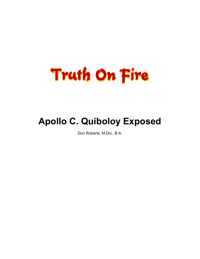

# **Apollo C. Quiboloy Exposed**

Don Roberts, M.Div., B.A.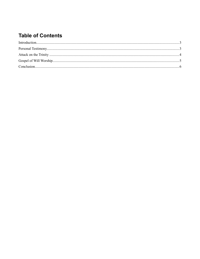## **Table of Contents**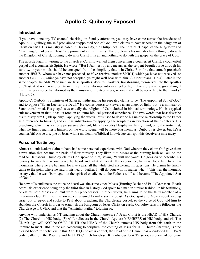### **Apollo C. Quiboloy Exposed**

#### **Introduction**

If you have done any TV channel checking on Sunday afternoon, you may have come across the broadcast of Apollo C. Quiboly, the self-proclaimed "Appointed Son of God" who claims to have ushered in the Kingdom of Christ on earth. His ministry is based in Davao City, the Philippines. The phrases "Gospel of the Kingdom" and "The Kingdom of Jesus Christ" are prominent in his ministry. The problem is his ministry has nothing to do with the Kingdom of Christ, nothing to do with Christ himself and nothing to do with the gospel of the grace of God.

The apostle Paul, in writing to the church at Corinth, warned them concerning a counterfeit Christ, a counterfeit gospel and a counterfeit Spirit. He wrote: "But I fear, lest by any means, as the serpent beguiled Eve through his subtilty, so your minds should be corrupted from the simplicity that is in Christ. For if he that cometh preacheth another JESUS, whom we have not preached, or if ye receive another SPIRIT, which ye have not received, or another GOSPEL, which ye have not accepted, ye might well bear with him" (2 Corinthians 11:3-4). Later in the same chapter, he adds: "For such are false apostles, deceitful workers, transforming themselves into the apostles of Christ. And no marvel; for Satan himself is transformed into an angel of light. Therefore it is no great thing if his ministers also be transformed as the ministers of righteousness; whose end shall be according to their works"  $(11:13-15)$ .

Apollo C. Quiboly is a minister of Satan notwithstanding his repeated claims to be "The Appointed Son of God" and to oppose "Satan Lucifer the Devil." He comes across to viewers as an angel of light, but is a minister of Satan transformed. His gospel is essentially the religion of Cain clothed in biblical terminology. His is a typical cult movement in that it has its roots in an extra-biblical personal experience. The two words that best describe his ministry are: (1) blasphemy—applying the words Jesus used to describe his unique relationship to the Father as a reference to himself, and (2) bastardization—misapplying the scriptures in violation of their contexts. His preaching, which has a strong persuasive element, literally exudes blasphemy. In my mind, only the Antichrist, when he finally manifests himself on the world scene, will be more blasphemous. Quiboloy is clever, but he's a counterfeit! A true disciple of Jesus with a modicum of biblical knowledge can spot this deceiver a mile away.

#### **Personal Testimony**

Almost all cult leaders claim to have had some personal experience with God wherein they claim God gave them a revelation that became the basis of their ministry. They liken it to Moses at the burning bush or Paul on the road to Damascus. Quiboloy claims God spoke to him, saying: "I will use you!" He goes on to describe his journey to ascertain whose voice he heard and what it meant. His experience, he says, took him to a few mountains where he ate bananas for five years, all the while God answering his questions. He claims he finally came to the point where he said in his heart: "Father, I will do your will no matter what!" This was the moment, he says, that he was "born again in the spirit of obedience to the Father's will" and became "The Appointed Son of God."

He now tells audiences the voice he heard was the same voice Moses (Burning Bush) and Paul (Damascus Road) heard, his experience being only the third time in history God spoke to a man in similar fashion. In his testimony, he claims both Moses and Paul were his predecessors. In other words, he claims to be the third member of a three-man club. Think of the arroagnce required to make such a boast. As God spoke to Moses about leading Israel out of egypt and spoke to Paul about preaching the Church-age gospel, so the voice of God told him to abandon the Church in order to establish the Kingdom of Jesus Christ on earth. Quiboloy tells his followers the Church Age is OVER and that the "Almighty Father" told him so.

Anyone who understands NT teaching about the Church knows: (1) Jesus Christ is the HEAD of HIS Church, (2) The Church is HIS body, (3) ALL believers in the Church Age are MEMBERS of HIS body, and (4) The Church Age will NOT be OVER UNTIL the HEAD of the Church extracts HIS body from this earth in the Rapture to meet HIM in the air. According to scripture, the coming of Jesus for HIS Church (Rapture) is "the blessed hope" for believers in this Age. If Quiboloy is correct, the Head of the Church has abandoned HIS OWN body, called off the Rapture and left HIS Church hopeless. It is obvious to ANY serious student of scripture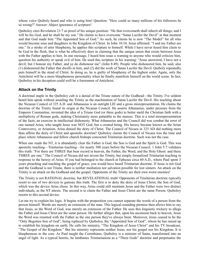whose voice Quiboly heard and who is using him! Question: "How could so many millions of his followers be so wrong?" Answer: Abject ignorance of scripture!

Quiboloy cites Revelation 21:7 as proof of his unique position: "He that overcometh shall inherit all things; and I will be his God, and he shall be my son." He claims to have overcome "Satan Lucifer the Devil" at that moment and that God made him "The Appointed Son of God." As such, he claims he is now "The Model" for all who would become sons and daughters in the Kingdom of Christ. In John 10:10, Jesus affirmed: "I and my Father are one." In a stroke of utter blasphemy, he applies this scripture to himself. While I have never heard him claim to be God in the flesh, that is what he effectively does in claiming that the unique union that exists between Jesus with the Father applies to him. In one message, I heard him issue a warning to anyone who would criticize him, question his authority or speak evil of him. He used this scripture in his warning: "Jesus answered, I have not a devil; but I honour my Father, and ye do dishonour me" (John 8:49). People who dishonored him, he said, also (1) dishonored the Father that dwells in him, and (2) did the work of Satan Lucifer the Devil. Quiboly repeatedly puts himself in the stead of Christ. In doing so, he is guilty of blasphemy of the highest order. Again, only the Antichrist will be a more blasphemous personality when he finally manifests himself on the world scene. In fact, Quiboloy in his deception could well be a forerunner of Antichrist.

#### **Attack on the Trinity**

A doctrinal staple in the Quiboloy cult is a denial of the Triune nature of the Godhead—the Trinity. I've seldom heard him speak without assailing the Trinity as the machination of Satan Lucifer the Devil. His teaching about the Nicaean Council of 325 A.D. and Athanasius is an outright LIE and a gross misrepresentation. He claims the doctrine of the Trinity found its origin at the Nicaean Council. He asserts Athanasius, under pressure from the Emperor Constantine, invented the idea of a Triune God (or three gods) to better meld the Christian faith with a multiplicity of Roman gods, making Christianity more palatable to the masses. This is a total misrepresentation of the facts, an exercise in intellectual dishonesty. What Athanasius and the Council did was combat the error of one named Arius, who taught Jesus was NOT God, but a created being. His heresy became known as the Arian Controversy, or Arianism. Arius denied the deity of Christ. The Council of Nicaea in 325 AD did nothing more than affirm the deity of Christ and apostolic doctrine! Quiboloy claims the Council of Nicaea was the time and place where Athanasius and fellow church bishops concocted Trinitarian doctrine. Such was not the case.

When one reads the NT, it is abundantly clear the Father is God, the Son is God and the Spirit is God. This was apostolic teaching—Trinitarian teaching—for nearly 300 years before the Nicaean Council. 1 John 5:7 validates this truth: "For there are THREE that bear record in heaven, the Father, the Word, and the Holy Ghost: and these THREE are one." The Council of Nicaea did not invent the Trinity, but simply formalized Trinitarian teaching in response to the heresy of Arius. If you had belonged to the church at Ephesus circa 60 A.D., where Paul spent 3 years preaching and teaching the gospel of grace, you would have heard Trinitarian doctrine. If Jesus is not God and the Godhead is not Triune, there is neither mediation nor salvation possible for lost sinners. An attack on the Trinity is an attack on the Godhead and the gospel. Opponents of the Trinity are their own worst enemies!

The Trinity is not RATIONAL doctrine, but REVELATIONAL truth! Opponents of Trinitarian doctrine typically resort to one of two devices to gainsay this truth. The first is to deny the deity of Jesus Christ, the Son of God, which was the device Arius chose. In this way, Arius could still maintain Jesus and the Father were two distinct individuals, as the NT attests. The second is to claim the Father and Jesus Christ are the same Person. Quiboloy resorts to this second device.

Let me try to explain his logic. It begins with the proposition you cannot separate the words of a person from the person himself. Words are merely an extension of the man. This logical-sounding premise then allows him to say that Jesus, as the Word of God, was merely an extension of the Father. He uses this linguistic trickery to allege the Father and Jesus Christ are the same person. He further alleges that, upon his ascension back to heaven, Jesus the Word was reunited with the Father as the one person they've always been. Moreover, Jesus ceased to be the "Only Begotten Son of God", being replaced by Quiboloy, the "Appointed Son of God", whom he has raised up to establish his kingdom on earth. He calls his ministry, "The Kingdom of Jesus Christ" and his TV broadcast, "The Gospel of the Kingdom." But his ministry represents neither Jesus, nor his gospel nor his Kingdom. It is blasphemous to the core. As Paul taught the Corinthians, Quiboloy is a minister of Satan, transformed into an angel of light. As a typical heretic, he lambastes Trinitarianism as a "Three Gods" doctrine and perpetuates the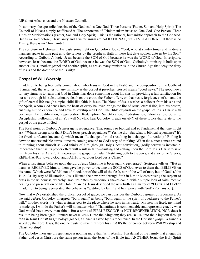LIE about Athanasius and the Nicaean Council.

In summary, the apostolic doctrine of the Godhead is One God, Three Persons (Father, Son and Holy Spirit). The Council of Nicaea simply reaffirmed it. The opponents of Trinitarianism insist on One God, One Person, Three Titles or Manifestations (Father, Son and Holy Spirit). This is the rational, humanistic approach to the Godhead. But as we said before, Christianity and Trinitarianism are not RATIONAL, but REVELATIONAL! If there is no Trinity, there is no Christianity!

The scripture in Hebrews 1:1-2 casts some light on Quiboloy's logic: "God, who at sundry times and in divers manners spake in time past unto the fathers by the prophets, Hath in these last days spoken unto us by his Son." According to Quiboloy's logic, Jesus became the SON of God because he was the WORD of God. In scripture, however, Jesus became the WORD of God because he was the SON of God! Quiboloy's ministry is built upon another Jesus, another gospel and another spirit, as are so many ministries in the Church Age that deny the deity of Jesus and the doctrine of the Trinity!

#### **Gospel of Will Worship**

In addition to being biblically correct about who Jesus is (God in the flesh) and the composition of the Godhead (Trinitarian), the acid test of any ministry is the gospel it preaches. Gospel means "good news." The good news for any sinner is to learn that God in Christ has done something about his sins. In providing a full satisfaction for our sins through his substitutionary death on the cross, the Father offers, on that basis, forgiveness of sin and the gift of eternal life trough simple, child-like faith in Jesus. The blood of Jesus washes a believer from his sins and the Spirit, whom God sends into the heart of every believer, brings the life of Jesus, eternal life, into his bosom, enabling him to experience and have fellowship with God. The Bible expands on the gospel of Jesus Christ with doctrines like Justification, Regeneration, Redemption, Sanctification, Predestination, Glorification, Sonship, Discipleship, Fellowship et al. You will NEVER hear Quiboloy preach on ANY of these topics that relate to the gospel of the grace of God.

The focal point of Quiboloy's message is repentance. That sounds so biblical and so fundamental that one might ask: "What's wrong with that? Didn't Jesus preach repentance?" Yes, he did! But what is biblical repentance? It's the Greek μετάνοια (metanoia), which means "a change of mind (resulting in a change of direction)." Boiling it down to understandable terms, it means coming around to God's way of thinking. When the sinner comes around to thinking about himself as God thinks of him (through Holy Ghost conviction), godly sorrow is inevitable. Repentance that has its proper effect will result in faith—trusting and calling upon the Lord Jesus Christ to save him from his sins. Acts 20:21 expresses the gospel formula: "Testifying both to the Jews, and also to the Greeks, REPENTANCE toward God, and FAITH toward our Lord Jesus Christ."

When a lost sinner believes upon the Lord Jesus Christ, he is born again (regenerated). Scripture tells us: "But as many as RECEIVED him, to them gave he power to become the SONS of God, even to them that BELIEVE on his name: Which were BORN, not of blood, nor of the will of the flesh, nor of the will of man, but of God" (John 1:12-13). By way of illustration, Jesus likened the new birth through faith in him to Moses raising the serpent of brass in the wilderness, whereby Israelites bitten by venomous snakes could, with a simple look of faith, receive healing and preservation of life (John 3:14-15). Jesus described the new birth as a matter of "LOOK and LIVE!" In addition to being regenerated, the believer is "justified by faith" and has "peace with God" (Romans 5:1).

Now that we've established the biblical gospel of grace, we can consider the Quiboloy gospel of repentance. As we said before, Quiboloy interprets "born again" as being "born again in the spirit of obedience to the Father's will." In other words, it's when a sinner gets to the place where he says in his heart: "My heart is fixed, my mind is made up, I will do the Father's will no matter what!" That attitude is commendable and represents exactly what God would have every man think. But a spirit of FIRM RESOLVE is NOT REGENERATION, NOR does it result in being born again. Sinners never REPENT into the Kingdom; they are BORN into the Kingdom through faith in Jesus Christ! In Quiboloy's gospel, a sinner is saved by his repentance. In the Christian gospel, a sinner is saved by the Lord Jesus, the one he trusts to save him from his sins! It's the diference between Will Worship and Christ worship!

The Quiboloy message of repentance is nothing more than Will Worship. His denial of the Trinity that alleges the Father and Jesus Christ are the same person turns the Jesus of the Bible into ANOTHER Jesus, the Holy Spirit